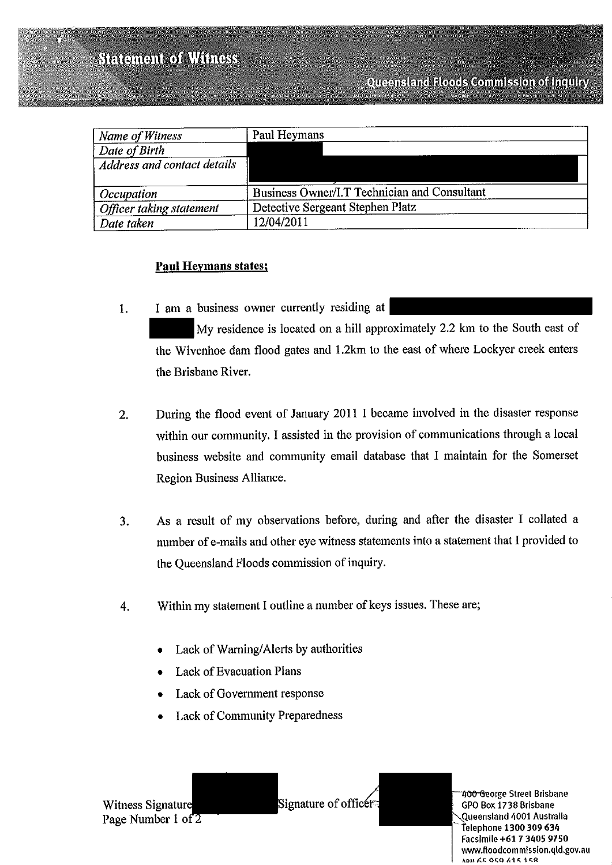| Name of Witness             | Paul Heymans                                 |
|-----------------------------|----------------------------------------------|
| <sup>1</sup> Date of Birth  |                                              |
| Address and contact details |                                              |
| Occupation                  | Business Owner/I.T Technician and Consultant |
| Officer taking statement    | Detective Sergeant Stephen Platz             |
| Date taken                  | 12/04/2011                                   |

## **Paul Heymans states;**

- I am a business owner currently residing at 1. My residence is located on a hill approximately 2.2 km to the South east of the Wivenhoe dam flood gates and 1.2km to the east of where Lockyer creek enters the Brisbane River.
- During the flood event of January 2011 I became involved in the disaster response  $2.$ within our community. I assisted in the provision of communications through a local business website and community email database that I maintain for the Somerset Region Business Alliance.
- As a result of my observations before, during and after the disaster I collated a 3. number of e-mails and other eye witness statements into a statement that I provided to the Queensland Floods commission of inquiry.
- Within my statement I outline a number of keys issues. These are; 4.
	- Lack of Warning/Alerts by authorities
	- **Lack of Evacuation Plans**
	- Lack of Government response
	- **Lack of Community Preparedness**

Witness Signature Page Number 1 of 2 Signature of officer

400 George Street Brisbane GPO Box 1738 Brisbane Queensland 4001 Australia Telephone 1300 309 634 Facsimile +61 7 3405 9750 www.floodcommission.qld.gov.au ADM AR ORO A1515R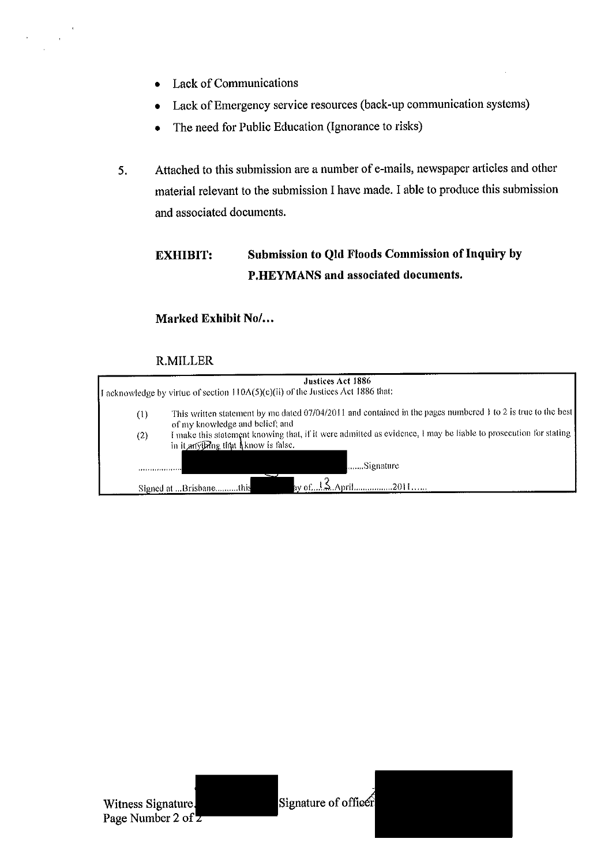- **Lack of Communications**  $\bullet$
- Lack of Emergency service resources (back-up communication systems)  $\bullet$
- The need for Public Education (Ignorance to risks)  $\bullet$
- Attached to this submission are a number of e-mails, newspaper articles and other 5. material relevant to the submission I have made. I able to produce this submission and associated documents.

#### Submission to Qld Floods Commission of Inquiry by **EXHIBIT:** P.HEYMANS and associated documents.

### Marked Exhibit No/...

|     | Justices Act 1886<br>I acknowledge by virtue of section 110A(5)(c)(ii) of the Justices Act 1886 that:                                                  |  |
|-----|--------------------------------------------------------------------------------------------------------------------------------------------------------|--|
| (1) | This written statement by me dated 07/04/2011 and contained in the pages numbered 1 to 2 is true to the best<br>of my knowledge and belief; and        |  |
| (2) | I make this statement knowing that, if it were admitted as evidence, I may be liable to prosecution for stating<br>in it anything that Aknow is false. |  |
|     | Signature                                                                                                                                              |  |
|     | Signed at Brisbanethis                                                                                                                                 |  |

#### **R.MILLER**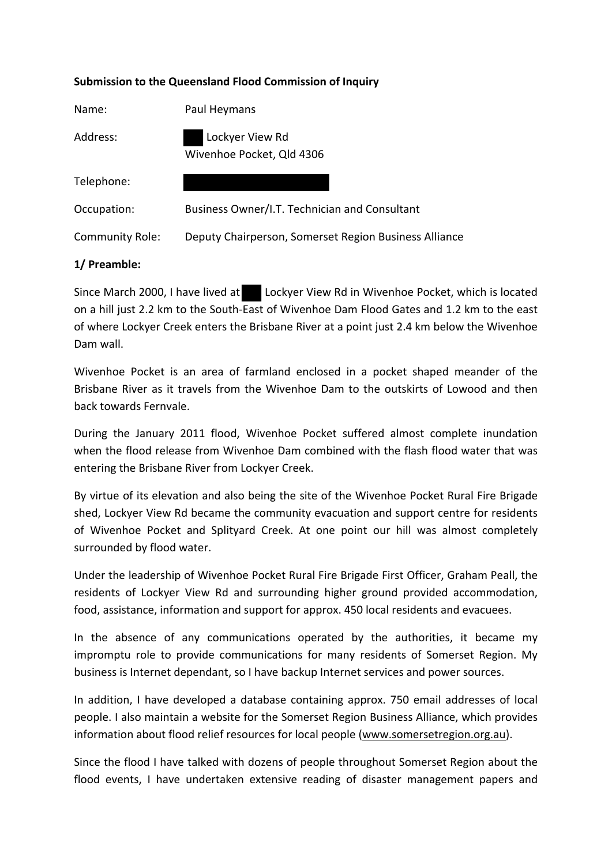#### **Submission to the Queensland Flood Commission of Inquiry**

| Name:                  | Paul Heymans                                          |  |
|------------------------|-------------------------------------------------------|--|
| Address:               | Lockyer View Rd<br>Wivenhoe Pocket, Qld 4306          |  |
| Telephone:             |                                                       |  |
| Occupation:            | Business Owner/I.T. Technician and Consultant         |  |
| <b>Community Role:</b> | Deputy Chairperson, Somerset Region Business Alliance |  |
|                        |                                                       |  |

#### **1/ Preamble:**

Since March 2000, I have lived at Lockyer View Rd in Wivenhoe Pocket, which is located on a hill just 2.2 km to the South‐East of Wivenhoe Dam Flood Gates and 1.2 km to the east of where Lockyer Creek enters the Brisbane River at a point just 2.4 km below the Wivenhoe Dam wall.

Wivenhoe Pocket is an area of farmland enclosed in a pocket shaped meander of the Brisbane River as it travels from the Wivenhoe Dam to the outskirts of Lowood and then back towards Fernvale.

During the January 2011 flood, Wivenhoe Pocket suffered almost complete inundation when the flood release from Wivenhoe Dam combined with the flash flood water that was entering the Brisbane River from Lockyer Creek.

By virtue of its elevation and also being the site of the Wivenhoe Pocket Rural Fire Brigade shed, Lockyer View Rd became the community evacuation and support centre for residents of Wivenhoe Pocket and Splityard Creek. At one point our hill was almost completely surrounded by flood water.

Under the leadership of Wivenhoe Pocket Rural Fire Brigade First Officer, Graham Peall, the residents of Lockyer View Rd and surrounding higher ground provided accommodation, food, assistance, information and support for approx. 450 local residents and evacuees.

In the absence of any communications operated by the authorities, it became my impromptu role to provide communications for many residents of Somerset Region. My business is Internet dependant, so I have backup Internet services and power sources.

In addition, I have developed a database containing approx. 750 email addresses of local people. I also maintain a website for the Somerset Region Business Alliance, which provides information about flood relief resources for local people (www.somersetregion.org.au).

Since the flood I have talked with dozens of people throughout Somerset Region about the flood events, I have undertaken extensive reading of disaster management papers and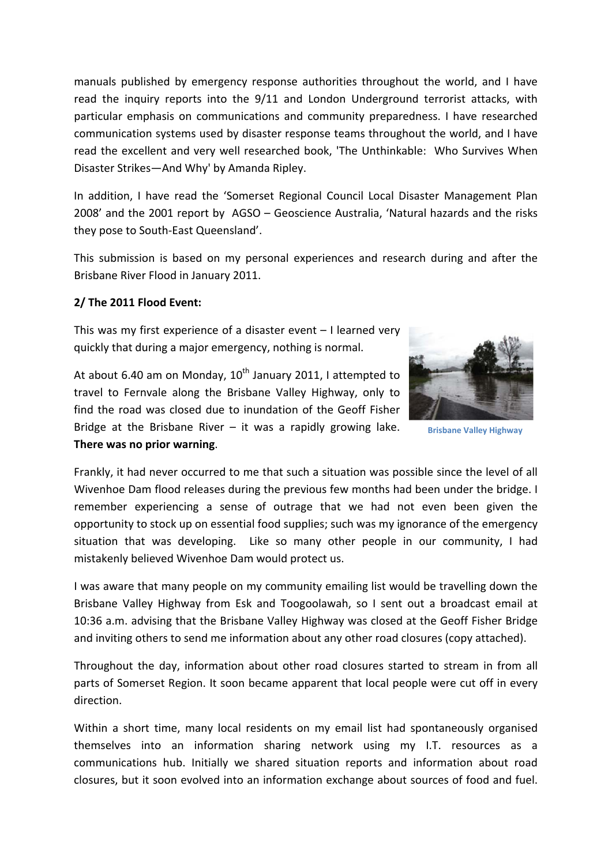manuals published by emergency response authorities throughout the world, and I have read the inquiry reports into the 9/11 and London Underground terrorist attacks, with particular emphasis on communications and community preparedness. I have researched communication systems used by disaster response teams throughout the world, and I have read the excellent and very well researched book, 'The Unthinkable: Who Survives When Disaster Strikes—And Why' by Amanda Ripley.

In addition, I have read the 'Somerset Regional Council Local Disaster Management Plan 2008' and the 2001 report by AGSO – Geoscience Australia, 'Natural hazards and the risks they pose to South‐East Queensland'.

This submission is based on my personal experiences and research during and after the Brisbane River Flood in January 2011.

#### **2/ The 2011 Flood Event:**

This was my first experience of a disaster event – I learned very quickly that during a major emergency, nothing is normal.



**Brisbane Valley Highway**

At about 6.40 am on Monday,  $10^{th}$  January 2011, I attempted to travel to Fernvale along the Brisbane Valley Highway, only to find the road was closed due to inundation of the Geoff Fisher Bridge at the Brisbane River  $-$  it was a rapidly growing lake. **There was no prior warning**.

Frankly, it had never occurred to me that such a situation was possible since the level of all Wivenhoe Dam flood releases during the previous few months had been under the bridge. I remember experiencing a sense of outrage that we had not even been given the opportunity to stock up on essential food supplies; such was my ignorance of the emergency situation that was developing. Like so many other people in our community, I had mistakenly believed Wivenhoe Dam would protect us.

I was aware that many people on my community emailing list would be travelling down the Brisbane Valley Highway from Esk and Toogoolawah, so I sent out a broadcast email at 10:36 a.m. advising that the Brisbane Valley Highway was closed at the Geoff Fisher Bridge and inviting others to send me information about any other road closures (copy attached).

Throughout the day, information about other road closures started to stream in from all parts of Somerset Region. It soon became apparent that local people were cut off in every direction.

Within a short time, many local residents on my email list had spontaneously organised themselves into an information sharing network using my I.T. resources as a communications hub. Initially we shared situation reports and information about road closures, but it soon evolved into an information exchange about sources of food and fuel.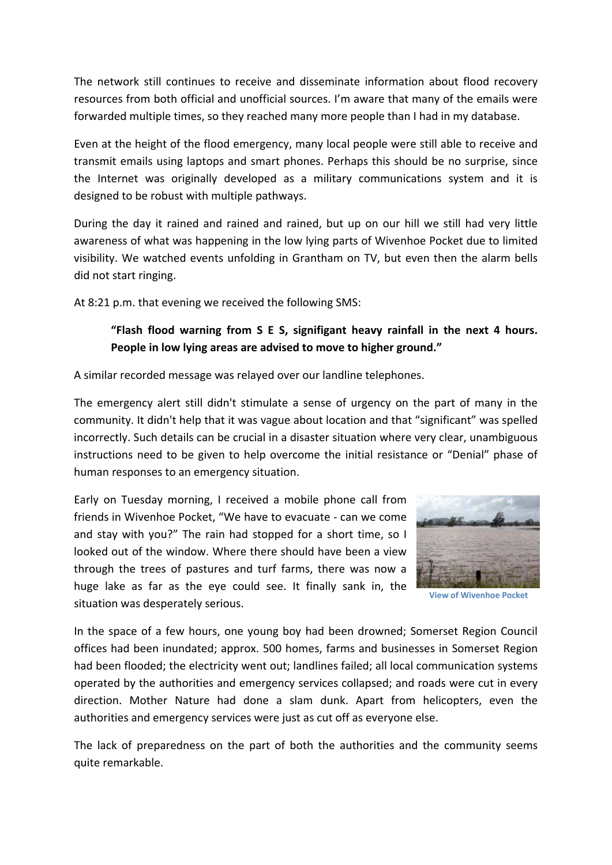The network still continues to receive and disseminate information about flood recovery resources from both official and unofficial sources. I'm aware that many of the emails were forwarded multiple times, so they reached many more people than I had in my database.

Even at the height of the flood emergency, many local people were still able to receive and transmit emails using laptops and smart phones. Perhaps this should be no surprise, since the Internet was originally developed as a military communications system and it is designed to be robust with multiple pathways.

During the day it rained and rained and rained, but up on our hill we still had very little awareness of what was happening in the low lying parts of Wivenhoe Pocket due to limited visibility. We watched events unfolding in Grantham on TV, but even then the alarm bells did not start ringing.

At 8:21 p.m. that evening we received the following SMS:

# **"Flash flood warning from S E S, signifigant heavy rainfall in the next 4 hours. People in low lying areas are advised to move to higher ground."**

A similar recorded message was relayed over our landline telephones.

The emergency alert still didn't stimulate a sense of urgency on the part of many in the community. It didn't help that it was vague about location and that "significant" was spelled incorrectly. Such details can be crucial in a disaster situation where very clear, unambiguous instructions need to be given to help overcome the initial resistance or "Denial" phase of human responses to an emergency situation.

Early on Tuesday morning, I received a mobile phone call from friends in Wivenhoe Pocket, "We have to evacuate ‐ can we come and stay with you?" The rain had stopped for a short time, so I looked out of the window. Where there should have been a view through the trees of pastures and turf farms, there was now a huge lake as far as the eye could see. It finally sank in, the situation was desperately serious.



**View of Wivenhoe Pocket**

In the space of a few hours, one young boy had been drowned; Somerset Region Council offices had been inundated; approx. 500 homes, farms and businesses in Somerset Region had been flooded; the electricity went out; landlines failed; all local communication systems operated by the authorities and emergency services collapsed; and roads were cut in every direction. Mother Nature had done a slam dunk. Apart from helicopters, even the authorities and emergency services were just as cut off as everyone else.

The lack of preparedness on the part of both the authorities and the community seems quite remarkable.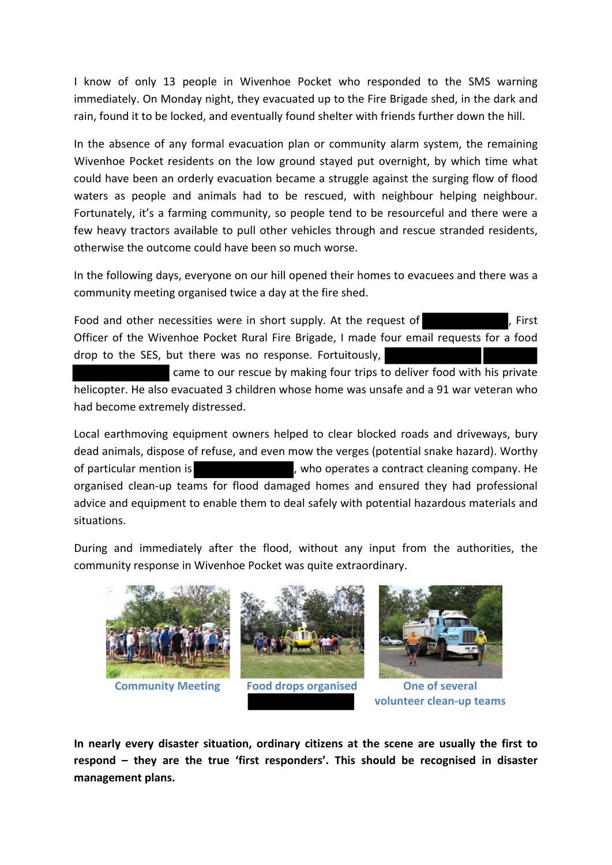I know of only 13 people in Wivenhoe Pocket who responded to the SMS warning immediately. On Monday night, they evacuated up to the Fire Brigade shed, in the dark and rain, found it to be locked, and eventually found shelter with friends further down the hill.

In the absence of any formal evacuation plan or community alarm system, the remaining Wivenhoe Pocket residents on the low ground stayed put overnight, by which time what could have been an orderly evacuation became a struggle against the surging flow of flood waters as people and animals had to be rescued, with neighbour helping neighbour. Fortunately, it's a farming community, so people tend to be resourceful and there were a few heavy tractors available to pull other vehicles through and rescue stranded residents, otherwise the outcome could have been so much worse.

In the following days, everyone on our hill opened their homes to evacuees and there was a community meeting organised twice a day at the fire shed.

Food and other necessities were in short supply. At the request of  $\blacksquare$ , First Officer of the Wivenhoe Pocket Rural Fire Brigade, I made four email requests for a food drop to the SES, but there was no response. Fortuitously,

came to our rescue by making four trips to deliver food with his private helicopter. He also evacuated 3 children whose home was unsafe and a 91 war veteran who had become extremely distressed.

Local earthmoving equipment owners helped to clear blocked roads and driveways, bury dead animals, dispose of refuse, and even mow the verges (potential snake hazard). Worthy of particular mention is , who operates a contract cleaning company. He organised clean‐up teams for flood damaged homes and ensured they had professional advice and equipment to enable them to deal safely with potential hazardous materials and situations.

During and immediately after the flood, without any input from the authorities, the community response in Wivenhoe Pocket was quite extraordinary.



**In nearly every disaster situation, ordinary citizens at the scene are usually the first to respond – they are the true 'first responders'. This should be recognised in disaster management plans.**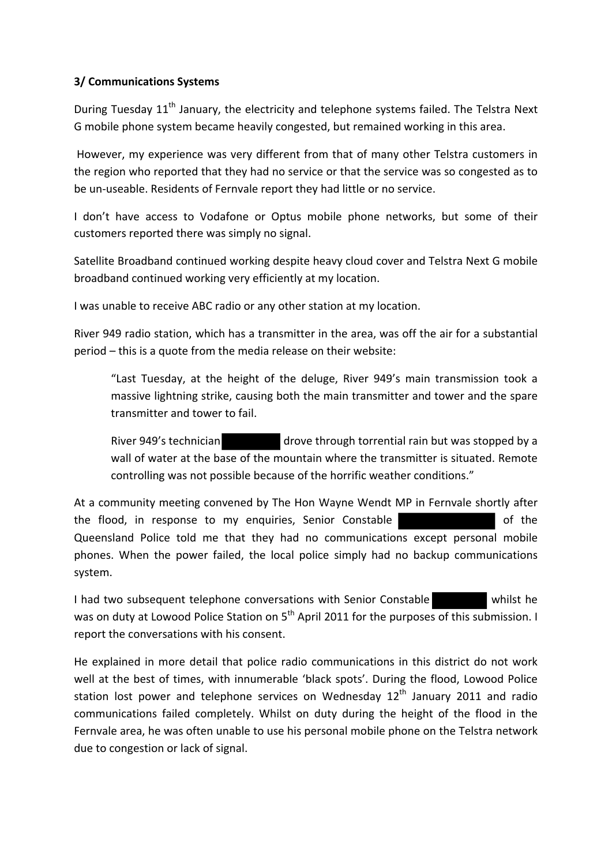### **3/ Communications Systems**

During Tuesday 11<sup>th</sup> January, the electricity and telephone systems failed. The Telstra Next G mobile phone system became heavily congested, but remained working in this area.

However, my experience was very different from that of many other Telstra customers in the region who reported that they had no service or that the service was so congested as to be un‐useable. Residents of Fernvale report they had little or no service.

I don't have access to Vodafone or Optus mobile phone networks, but some of their customers reported there was simply no signal.

Satellite Broadband continued working despite heavy cloud cover and Telstra Next G mobile broadband continued working very efficiently at my location.

I was unable to receive ABC radio or any other station at my location.

River 949 radio station, which has a transmitter in the area, was off the air for a substantial period – this is a quote from the media release on their website:

"Last Tuesday, at the height of the deluge, River 949's main transmission took a massive lightning strike, causing both the main transmitter and tower and the spare transmitter and tower to fail.

River 949's technician drove through torrential rain but was stopped by a wall of water at the base of the mountain where the transmitter is situated. Remote controlling was not possible because of the horrific weather conditions."

At a community meeting convened by The Hon Wayne Wendt MP in Fernvale shortly after the flood, in response to my enquiries, Senior Constable Queensland Police told me that they had no communications except personal mobile phones. When the power failed, the local police simply had no backup communications system.

I had two subsequent telephone conversations with Senior Constable whilst he was on duty at Lowood Police Station on 5<sup>th</sup> April 2011 for the purposes of this submission. I report the conversations with his consent.

He explained in more detail that police radio communications in this district do not work well at the best of times, with innumerable 'black spots'. During the flood, Lowood Police station lost power and telephone services on Wednesday  $12<sup>th</sup>$  January 2011 and radio communications failed completely. Whilst on duty during the height of the flood in the Fernvale area, he was often unable to use his personal mobile phone on the Telstra network due to congestion or lack of signal.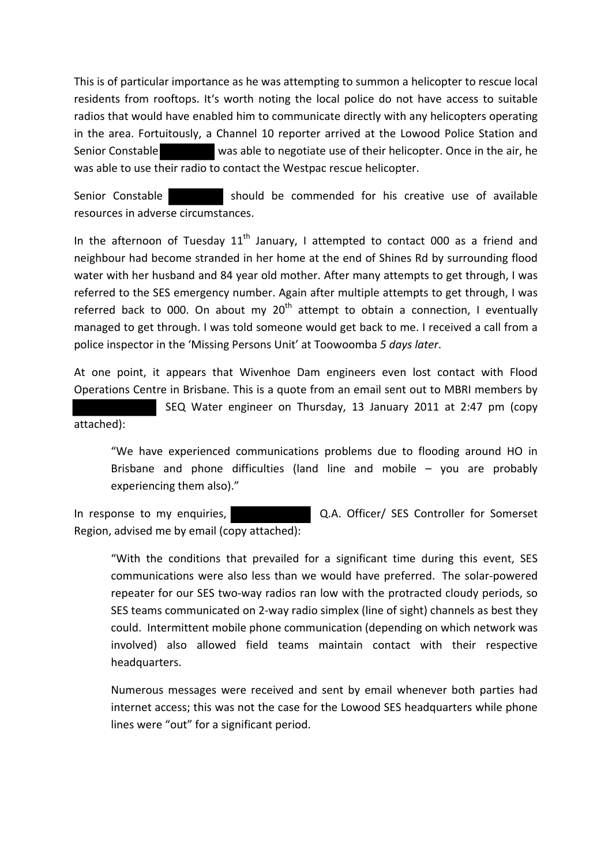This is of particular importance as he was attempting to summon a helicopter to rescue local residents from rooftops. It's worth noting the local police do not have access to suitable radios that would have enabled him to communicate directly with any helicopters operating in the area. Fortuitously, a Channel 10 reporter arrived at the Lowood Police Station and Senior Constable was able to negotiate use of their helicopter. Once in the air, he was able to use their radio to contact the Westpac rescue helicopter.

Senior Constable should be commended for his creative use of available resources in adverse circumstances.

In the afternoon of Tuesday  $11<sup>th</sup>$  January, I attempted to contact 000 as a friend and neighbour had become stranded in her home at the end of Shines Rd by surrounding flood water with her husband and 84 year old mother. After many attempts to get through, I was referred to the SES emergency number. Again after multiple attempts to get through, I was referred back to 000. On about my  $20<sup>th</sup>$  attempt to obtain a connection, I eventually managed to get through. I was told someone would get back to me. I received a call from a police inspector in the 'Missing Persons Unit' at Toowoomba *5 days later*.

At one point, it appears that Wivenhoe Dam engineers even lost contact with Flood Operations Centre in Brisbane. This is a quote from an email sent out to MBRI members by

SEQ Water engineer on Thursday, 13 January 2011 at 2:47 pm (copy attached):

"We have experienced communications problems due to flooding around HO in Brisbane and phone difficulties (land line and mobile – you are probably experiencing them also)."

In response to my enquiries, **Access 20 COLA**. Officer/ SES Controller for Somerset Region, advised me by email (copy attached):

"With the conditions that prevailed for a significant time during this event, SES communications were also less than we would have preferred. The solar‐powered repeater for our SES two-way radios ran low with the protracted cloudy periods, so SES teams communicated on 2‐way radio simplex (line of sight) channels as best they could. Intermittent mobile phone communication (depending on which network was involved) also allowed field teams maintain contact with their respective headquarters.

Numerous messages were received and sent by email whenever both parties had internet access; this was not the case for the Lowood SES headquarters while phone lines were "out" for a significant period.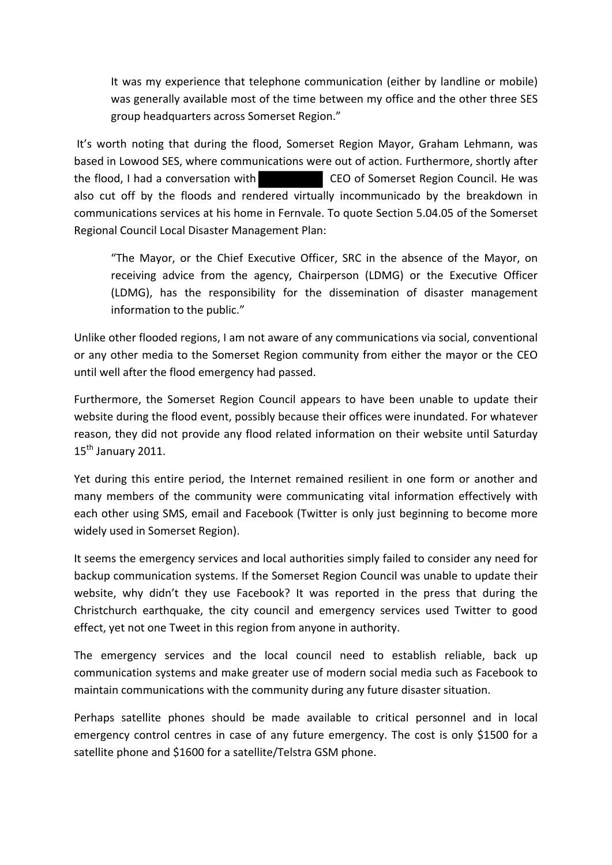It was my experience that telephone communication (either by landline or mobile) was generally available most of the time between my office and the other three SES group headquarters across Somerset Region."

It's worth noting that during the flood, Somerset Region Mayor, Graham Lehmann, was based in Lowood SES, where communications were out of action. Furthermore, shortly after the flood, I had a conversation with CEO of Somerset Region Council. He was also cut off by the floods and rendered virtually incommunicado by the breakdown in communications services at his home in Fernvale. To quote Section 5.04.05 of the Somerset Regional Council Local Disaster Management Plan:

"The Mayor, or the Chief Executive Officer, SRC in the absence of the Mayor, on receiving advice from the agency, Chairperson (LDMG) or the Executive Officer (LDMG), has the responsibility for the dissemination of disaster management information to the public."

Unlike other flooded regions, I am not aware of any communications via social, conventional or any other media to the Somerset Region community from either the mayor or the CEO until well after the flood emergency had passed.

Furthermore, the Somerset Region Council appears to have been unable to update their website during the flood event, possibly because their offices were inundated. For whatever reason, they did not provide any flood related information on their website until Saturday  $15<sup>th</sup>$  January 2011.

Yet during this entire period, the Internet remained resilient in one form or another and many members of the community were communicating vital information effectively with each other using SMS, email and Facebook (Twitter is only just beginning to become more widely used in Somerset Region).

It seems the emergency services and local authorities simply failed to consider any need for backup communication systems. If the Somerset Region Council was unable to update their website, why didn't they use Facebook? It was reported in the press that during the Christchurch earthquake, the city council and emergency services used Twitter to good effect, yet not one Tweet in this region from anyone in authority.

The emergency services and the local council need to establish reliable, back up communication systems and make greater use of modern social media such as Facebook to maintain communications with the community during any future disaster situation.

Perhaps satellite phones should be made available to critical personnel and in local emergency control centres in case of any future emergency. The cost is only \$1500 for a satellite phone and \$1600 for a satellite/Telstra GSM phone.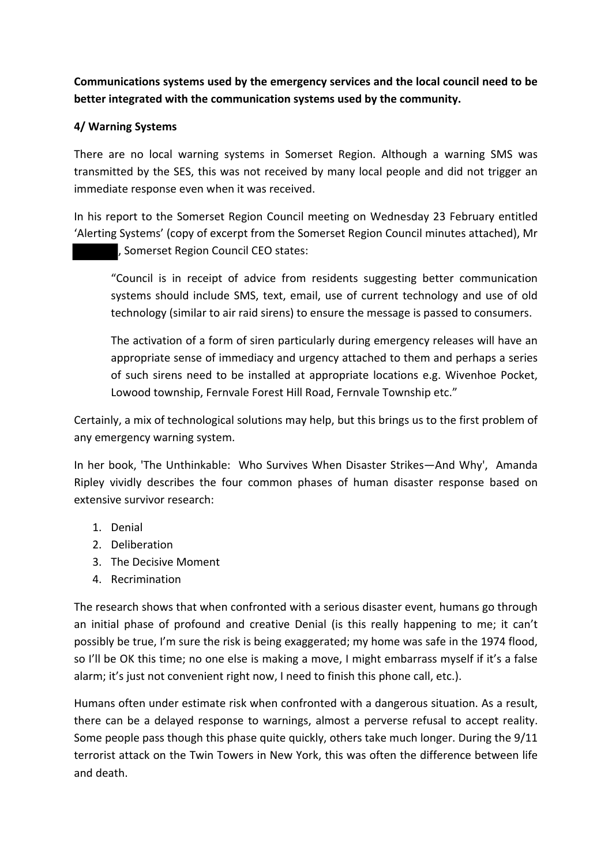**Communications systems used by the emergency services and the local council need to be better integrated with the communication systems used by the community.**

### **4/ Warning Systems**

There are no local warning systems in Somerset Region. Although a warning SMS was transmitted by the SES, this was not received by many local people and did not trigger an immediate response even when it was received.

In his report to the Somerset Region Council meeting on Wednesday 23 February entitled 'Alerting Systems' (copy of excerpt from the Somerset Region Council minutes attached), Mr , Somerset Region Council CEO states:

"Council is in receipt of advice from residents suggesting better communication systems should include SMS, text, email, use of current technology and use of old technology (similar to air raid sirens) to ensure the message is passed to consumers.

The activation of a form of siren particularly during emergency releases will have an appropriate sense of immediacy and urgency attached to them and perhaps a series of such sirens need to be installed at appropriate locations e.g. Wivenhoe Pocket, Lowood township, Fernvale Forest Hill Road, Fernvale Township etc."

Certainly, a mix of technological solutions may help, but this brings us to the first problem of any emergency warning system.

In her book, 'The Unthinkable: Who Survives When Disaster Strikes—And Why', Amanda Ripley vividly describes the four common phases of human disaster response based on extensive survivor research:

- 1. Denial
- 2. Deliberation
- 3. The Decisive Moment
- 4. Recrimination

The research shows that when confronted with a serious disaster event, humans go through an initial phase of profound and creative Denial (is this really happening to me; it can't possibly be true, I'm sure the risk is being exaggerated; my home was safe in the 1974 flood, so I'll be OK this time; no one else is making a move, I might embarrass myself if it's a false alarm; it's just not convenient right now, I need to finish this phone call, etc.).

Humans often under estimate risk when confronted with a dangerous situation. As a result, there can be a delayed response to warnings, almost a perverse refusal to accept reality. Some people pass though this phase quite quickly, others take much longer. During the 9/11 terrorist attack on the Twin Towers in New York, this was often the difference between life and death.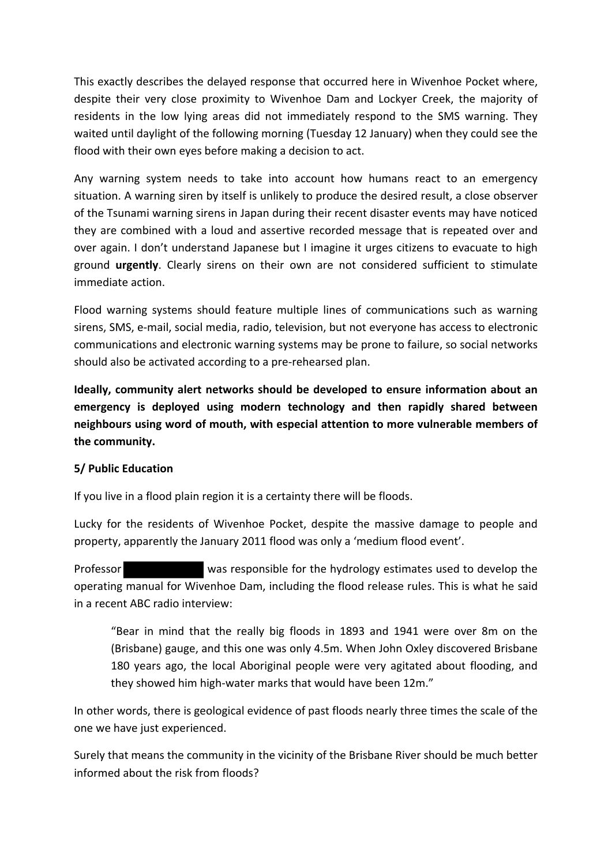This exactly describes the delayed response that occurred here in Wivenhoe Pocket where, despite their very close proximity to Wivenhoe Dam and Lockyer Creek, the majority of residents in the low lying areas did not immediately respond to the SMS warning. They waited until daylight of the following morning (Tuesday 12 January) when they could see the flood with their own eyes before making a decision to act.

Any warning system needs to take into account how humans react to an emergency situation. A warning siren by itself is unlikely to produce the desired result, a close observer of the Tsunami warning sirens in Japan during their recent disaster events may have noticed they are combined with a loud and assertive recorded message that is repeated over and over again. I don't understand Japanese but I imagine it urges citizens to evacuate to high ground **urgently**. Clearly sirens on their own are not considered sufficient to stimulate immediate action.

Flood warning systems should feature multiple lines of communications such as warning sirens, SMS, e‐mail, social media, radio, television, but not everyone has access to electronic communications and electronic warning systems may be prone to failure, so social networks should also be activated according to a pre‐rehearsed plan.

**Ideally, community alert networks should be developed to ensure information about an emergency is deployed using modern technology and then rapidly shared between neighbours using word of mouth, with especial attention to more vulnerable members of the community.**

### **5/ Public Education**

If you live in a flood plain region it is a certainty there will be floods.

Lucky for the residents of Wivenhoe Pocket, despite the massive damage to people and property, apparently the January 2011 flood was only a 'medium flood event'.

Professor was responsible for the hydrology estimates used to develop the operating manual for Wivenhoe Dam, including the flood release rules. This is what he said in a recent ABC radio interview:

"Bear in mind that the really big floods in 1893 and 1941 were over 8m on the (Brisbane) gauge, and this one was only 4.5m. When John Oxley discovered Brisbane 180 years ago, the local Aboriginal people were very agitated about flooding, and they showed him high‐water marks that would have been 12m."

In other words, there is geological evidence of past floods nearly three times the scale of the one we have just experienced.

Surely that means the community in the vicinity of the Brisbane River should be much better informed about the risk from floods?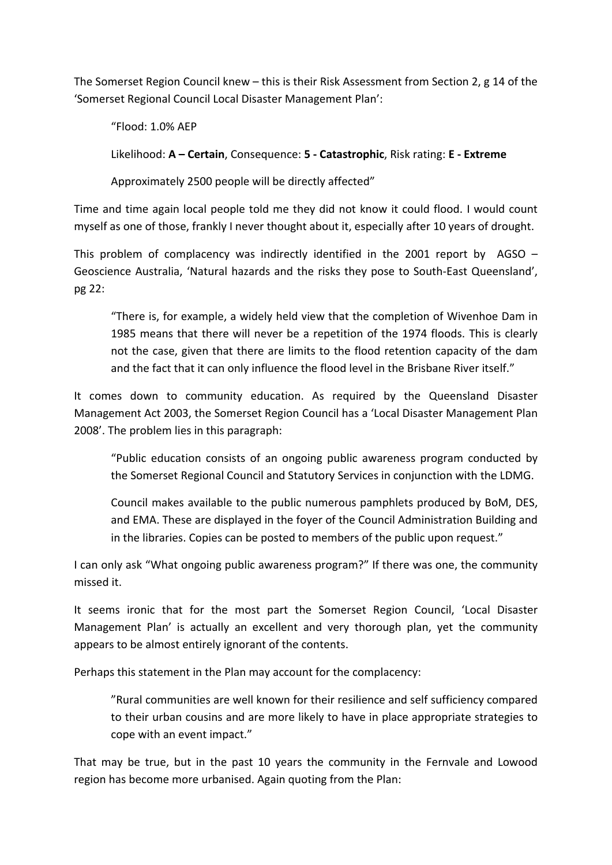The Somerset Region Council knew – this is their Risk Assessment from Section 2, g 14 of the 'Somerset Regional Council Local Disaster Management Plan':

"Flood: 1.0% AEP

Likelihood: **A – Certain**, Consequence: **5 ‐ Catastrophic**, Risk rating: **E ‐ Extreme**

Approximately 2500 people will be directly affected"

Time and time again local people told me they did not know it could flood. I would count myself as one of those, frankly I never thought about it, especially after 10 years of drought.

This problem of complacency was indirectly identified in the 2001 report by  $AGSO -$ Geoscience Australia, 'Natural hazards and the risks they pose to South‐East Queensland', pg 22:

"There is, for example, a widely held view that the completion of Wivenhoe Dam in 1985 means that there will never be a repetition of the 1974 floods. This is clearly not the case, given that there are limits to the flood retention capacity of the dam and the fact that it can only influence the flood level in the Brisbane River itself."

It comes down to community education. As required by the Queensland Disaster Management Act 2003, the Somerset Region Council has a 'Local Disaster Management Plan 2008'. The problem lies in this paragraph:

"Public education consists of an ongoing public awareness program conducted by the Somerset Regional Council and Statutory Services in conjunction with the LDMG.

Council makes available to the public numerous pamphlets produced by BoM, DES, and EMA. These are displayed in the foyer of the Council Administration Building and in the libraries. Copies can be posted to members of the public upon request."

I can only ask "What ongoing public awareness program?" If there was one, the community missed it.

It seems ironic that for the most part the Somerset Region Council, 'Local Disaster Management Plan' is actually an excellent and very thorough plan, yet the community appears to be almost entirely ignorant of the contents.

Perhaps this statement in the Plan may account for the complacency:

"Rural communities are well known for their resilience and self sufficiency compared to their urban cousins and are more likely to have in place appropriate strategies to cope with an event impact."

That may be true, but in the past 10 years the community in the Fernvale and Lowood region has become more urbanised. Again quoting from the Plan: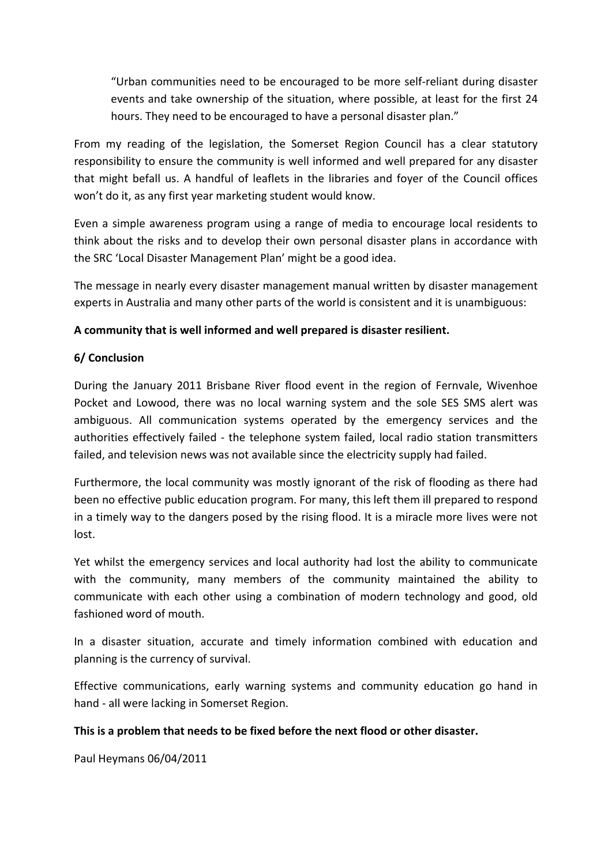"Urban communities need to be encouraged to be more self‐reliant during disaster events and take ownership of the situation, where possible, at least for the first 24 hours. They need to be encouraged to have a personal disaster plan."

From my reading of the legislation, the Somerset Region Council has a clear statutory responsibility to ensure the community is well informed and well prepared for any disaster that might befall us. A handful of leaflets in the libraries and foyer of the Council offices won't do it, as any first year marketing student would know.

Even a simple awareness program using a range of media to encourage local residents to think about the risks and to develop their own personal disaster plans in accordance with the SRC 'Local Disaster Management Plan' might be a good idea.

The message in nearly every disaster management manual written by disaster management experts in Australia and many other parts of the world is consistent and it is unambiguous:

## **A community that is well informed and well prepared is disaster resilient.**

### **6/ Conclusion**

During the January 2011 Brisbane River flood event in the region of Fernvale, Wivenhoe Pocket and Lowood, there was no local warning system and the sole SES SMS alert was ambiguous. All communication systems operated by the emergency services and the authorities effectively failed ‐ the telephone system failed, local radio station transmitters failed, and television news was not available since the electricity supply had failed.

Furthermore, the local community was mostly ignorant of the risk of flooding as there had been no effective public education program. For many, this left them ill prepared to respond in a timely way to the dangers posed by the rising flood. It is a miracle more lives were not lost.

Yet whilst the emergency services and local authority had lost the ability to communicate with the community, many members of the community maintained the ability to communicate with each other using a combination of modern technology and good, old fashioned word of mouth.

In a disaster situation, accurate and timely information combined with education and planning is the currency of survival.

Effective communications, early warning systems and community education go hand in hand ‐ all were lacking in Somerset Region.

### **This is a problem that needs to be fixed before the next flood or other disaster.**

Paul Heymans 06/04/2011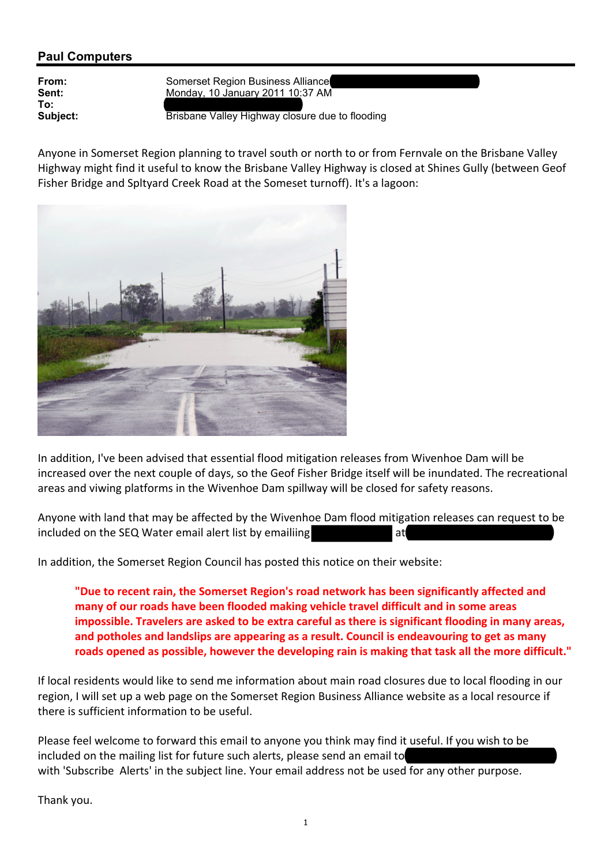# **Paul Computers**

**To:** paulo automatic original computers.com

**From:** Somerset Region Business Alliance<br>
Sent: Sent: Monday, 10 January 2011 10:37 AM **Sent:** Monday, 10 January 2011 10:37 AM

**Subject: Brisbane Valley Highway closure due to flooding** 

Anyone in Somerset Region planning to travel south or north to or from Fernvale on the Brisbane Valley Highway might find it useful to know the Brisbane Valley Highway is closed at Shines Gully (between Geof Fisher Bridge and Spltyard Creek Road at the Someset turnoff). It's a lagoon:



In addition, I've been advised that essential flood mitigation releases from Wivenhoe Dam will be increased over the next couple of days, so the Geof Fisher Bridge itself will be inundated. The recreational areas and viwing platforms in the Wivenhoe Dam spillway will be closed for safety reasons.

Anyone with land that may be affected by the Wivenhoe Dam flood mitigation releases can request to be included on the SEQ Water email alert list by emailiing at gate at

In addition, the Somerset Region Council has posted this notice on their website:

**"Due to recent rain, the Somerset Region's road network has been significantly affected and many of our roads have been flooded making vehicle travel difficult and in some areas impossible. Travelers are asked to be extra careful as there is significant flooding in many areas, and potholes and landslips are appearing as a result. Council is endeavouring to get as many roads opened as possible, however the developing rain is making that task all the more difficult."**

If local residents would like to send me information about main road closures due to local flooding in our region, I will set up a web page on the Somerset Region Business Alliance website as a local resource if there is sufficient information to be useful.

Please feel welcome to forward this email to anyone you think may find it useful. If you wish to be included on the mailing list for future such alerts, please send an email to with 'Subscribe Alerts' in the subject line. Your email address not be used for any other purpose.

Thank you.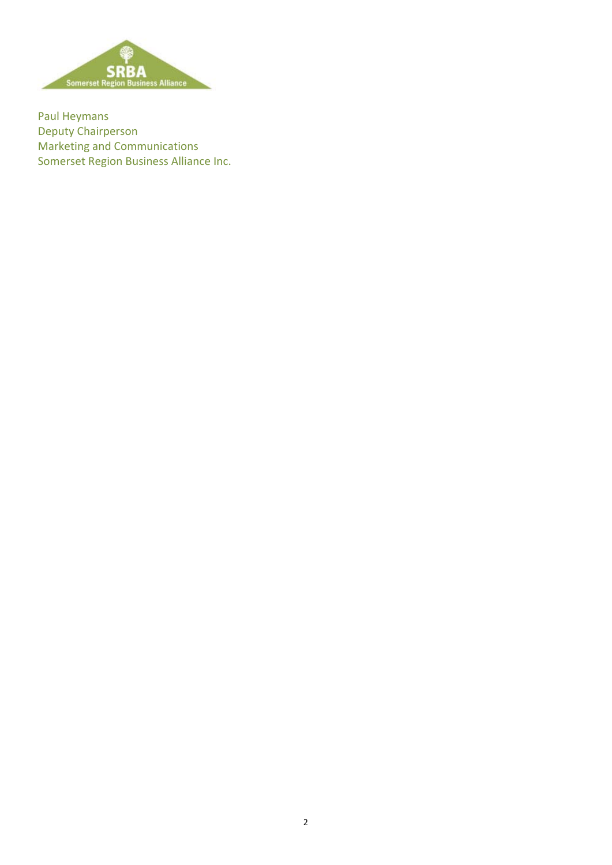

Paul Heymans Deputy Chairperson Marketing and Communications Somerset Region Business Alliance Inc.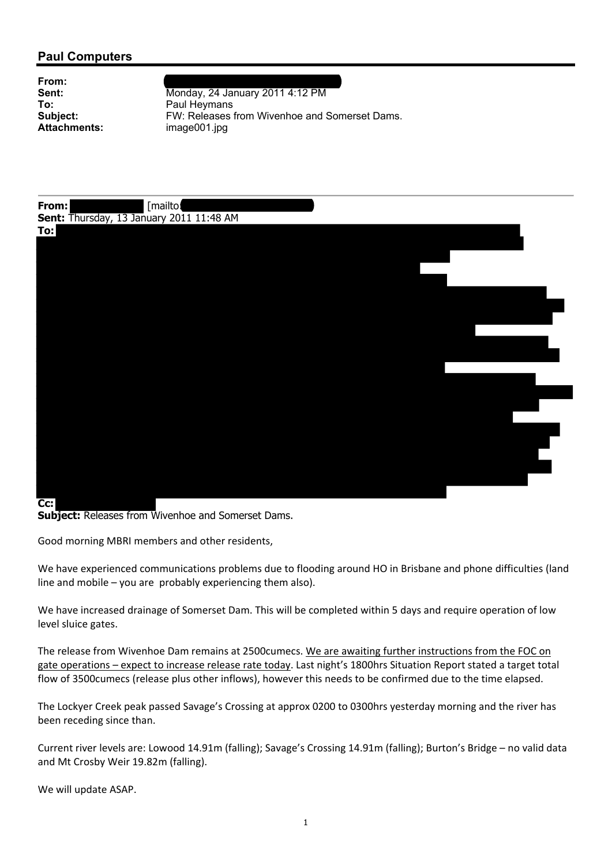## **Paul Computers**

| From:        |
|--------------|
| Sent:        |
| To:          |
| Subject:     |
| Attachments: |

**From:** Jillian Begge and the set of the set of the set of the set of the set of the set of the set of the set of the set of the set of the set of the set of the set of the set of the set of the set of the set of the set o **Sent:** Monday, 24 January 2011 4:12 PM **To:** Paul Heymans FW: Releases from Wivenhoe and Somerset Dams. **Attachments:** image001.jpg



**Cc: Subject:** Releases from Wivenhoe and Somerset Dams.

Good morning MBRI members and other residents,

We have experienced communications problems due to flooding around HO in Brisbane and phone difficulties (land line and mobile – you are probably experiencing them also).

We have increased drainage of Somerset Dam. This will be completed within 5 days and require operation of low level sluice gates.

The release from Wivenhoe Dam remains at 2500cumecs. We are awaiting further instructions from the FOC on gate operations – expect to increase release rate today. Last night's 1800hrs Situation Report stated a target total flow of 3500cumecs (release plus other inflows), however this needs to be confirmed due to the time elapsed.

The Lockyer Creek peak passed Savage's Crossing at approx 0200 to 0300hrs yesterday morning and the river has been receding since than.

Current river levels are: Lowood 14.91m (falling); Savage's Crossing 14.91m (falling); Burton's Bridge – no valid data and Mt Crosby Weir 19.82m (falling).

We will update ASAP.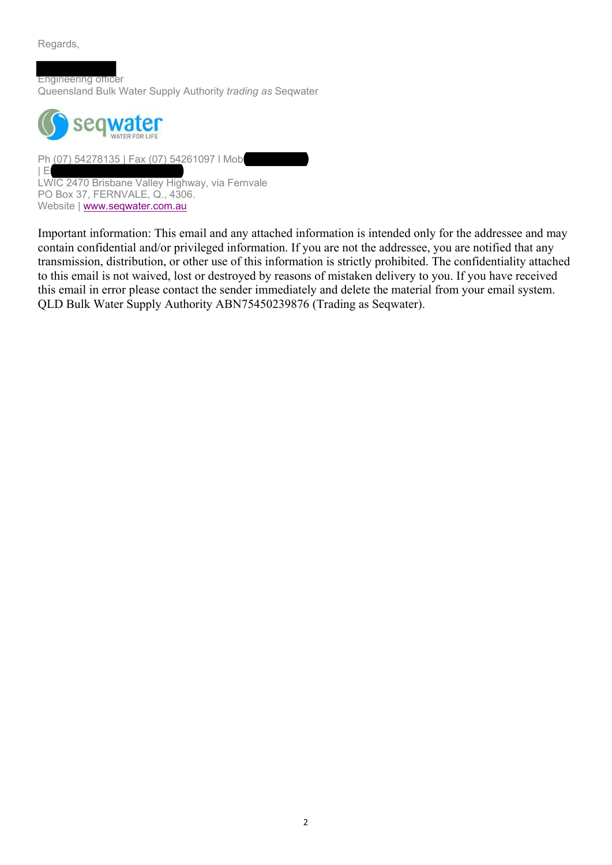Regards,

Engineering officer Queensland Bulk Water Supply Authority *trading as* Seqwater



Ph (07) 54278135 | Fax (07) 54261097 | Mob  $|E|$ LWIC 2470 Brisbane Valley Highway, via Fernvale PO Box 37, FERNVALE, Q., 4306. Website | www.seqwater.com.au

Important information: This email and any attached information is intended only for the addressee and may contain confidential and/or privileged information. If you are not the addressee, you are notified that any transmission, distribution, or other use of this information is strictly prohibited. The confidentiality attached to this email is not waived, lost or destroyed by reasons of mistaken delivery to you. If you have received this email in error please contact the sender immediately and delete the material from your email system. QLD Bulk Water Supply Authority ABN75450239876 (Trading as Seqwater).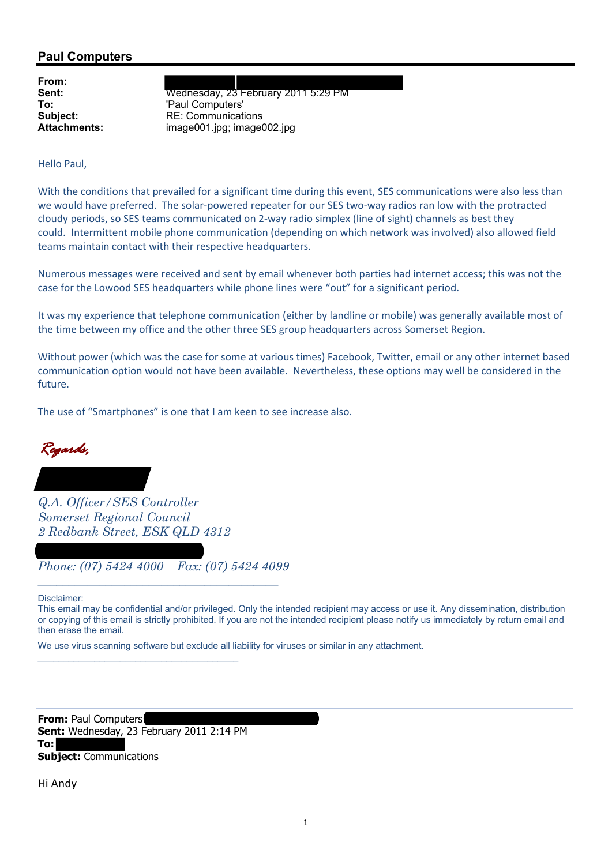## **Paul Computers**

**From:**

**Sent:** Wednesday, 23 February 2011 5:29 PM **To:**  $\begin{array}{c} \text{Paul Computers'} \\ \text{Subject:} \end{array}$ **Subject:** RE: Communications<br> **Attachments:** image001.jpg: image **Attachments:** image001.jpg; image002.jpg

Hello Paul,

With the conditions that prevailed for a significant time during this event, SES communications were also less than we would have preferred. The solar-powered repeater for our SES two-way radios ran low with the protracted cloudy periods, so SES teams communicated on 2‐way radio simplex (line of sight) channels as best they could. Intermittent mobile phone communication (depending on which network was involved) also allowed field teams maintain contact with their respective headquarters.

Numerous messages were received and sent by email whenever both parties had internet access; this was not the case for the Lowood SES headquarters while phone lines were "out" for a significant period.

It was my experience that telephone communication (either by landline or mobile) was generally available most of the time between my office and the other three SES group headquarters across Somerset Region.

Without power (which was the case for some at various times) Facebook, Twitter, email or any other internet based communication option would not have been available. Nevertheless, these options may well be considered in the future.

The use of "Smartphones" is one that I am keen to see increase also.



*Q.A. Officer/SES Controller Somerset Regional Council 2 Redbank Street, ESK QLD 4312*

*abickerton@somerset.qld.gov.au Phone: (07) 5424 4000 Fax: (07) 5424 4099 \_\_\_\_\_\_\_\_\_\_\_\_\_\_\_\_\_\_\_\_\_\_\_\_\_\_\_\_\_\_\_\_\_\_\_\_\_\_\_* 

Disclaimer:

This email may be confidential and/or privileged. Only the intended recipient may access or use it. Any dissemination, distribution or copying of this email is strictly prohibited. If you are not the intended recipient please notify us immediately by return email and then erase the email.

We use virus scanning software but exclude all liability for viruses or similar in any attachment.

**From: Paul Computers Sent:** Wednesday, 23 February 2011 2:14 PM **To: Subject:** Communications

\_\_\_\_\_\_\_\_\_\_\_\_\_\_\_\_\_\_\_\_\_\_\_\_\_\_\_\_\_\_\_\_\_\_\_\_\_\_\_

Hi Andy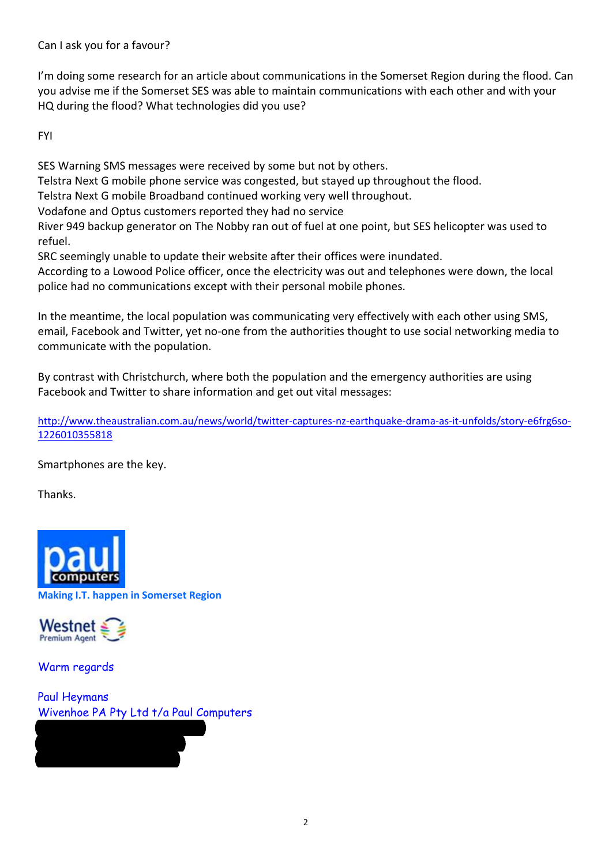Can I ask you for a favour?

I'm doing some research for an article about communications in the Somerset Region during the flood. Can you advise me if the Somerset SES was able to maintain communications with each other and with your HQ during the flood? What technologies did you use?

FYI

SES Warning SMS messages were received by some but not by others.

Telstra Next G mobile phone service was congested, but stayed up throughout the flood.

Telstra Next G mobile Broadband continued working very well throughout.

Vodafone and Optus customers reported they had no service

River 949 backup generator on The Nobby ran out of fuel at one point, but SES helicopter was used to refuel.

SRC seemingly unable to update their website after their offices were inundated.

According to a Lowood Police officer, once the electricity was out and telephones were down, the local police had no communications except with their personal mobile phones.

In the meantime, the local population was communicating very effectively with each other using SMS, email, Facebook and Twitter, yet no-one from the authorities thought to use social networking media to communicate with the population.

By contrast with Christchurch, where both the population and the emergency authorities are using Facebook and Twitter to share information and get out vital messages:

http://www.theaustralian.com.au/news/world/twitter-captures-nz-earthquake-drama-as-it-unfolds/story-e6frg6so-1226010355818

Smartphones are the key.

Thanks.



**Making I.T. happen in Somerset Region**



Warm regards

Paul Heymans Wivenhoe PA Pty Ltd t/a Paul Computers

(07) 5427 0132/0417 34 28 54 paul@paulcomputers.com.au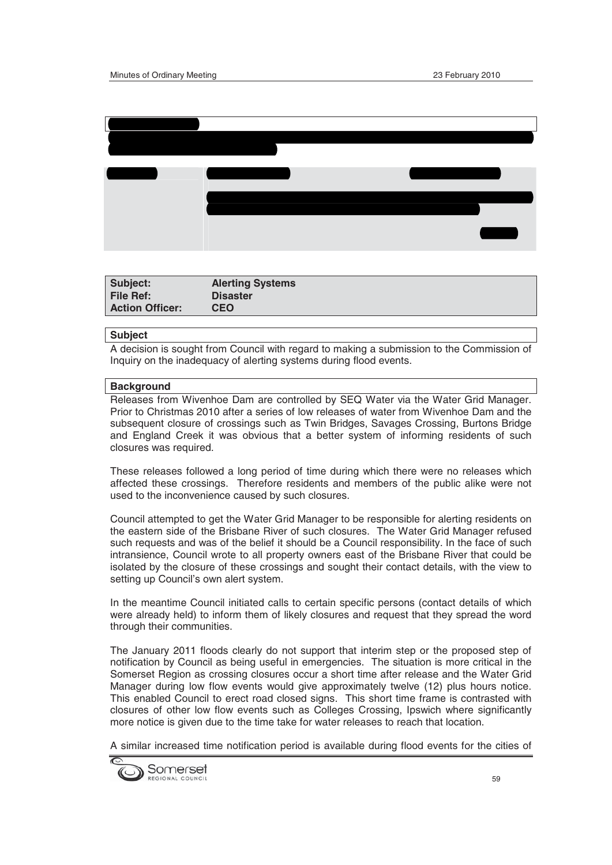

| Subject:               | <b>Alerting Systems</b> |
|------------------------|-------------------------|
| <b>File Ref:</b>       | <b>Disaster</b>         |
| <b>Action Officer:</b> | <b>CEO</b>              |

#### **Subject**

A decision is sought from Council with regard to making a submission to the Commission of Inquiry on the inadequacy of alerting systems during flood events.

#### **Background**

Releases from Wivenhoe Dam are controlled by SEQ Water via the Water Grid Manager. Prior to Christmas 2010 after a series of low releases of water from Wivenhoe Dam and the subsequent closure of crossings such as Twin Bridges, Savages Crossing, Burtons Bridge and England Creek it was obvious that a better system of informing residents of such closures was required.

These releases followed a long period of time during which there were no releases which affected these crossings. Therefore residents and members of the public alike were not used to the inconvenience caused by such closures.

Council attempted to get the Water Grid Manager to be responsible for alerting residents on the eastern side of the Brisbane River of such closures. The Water Grid Manager refused such requests and was of the belief it should be a Council responsibility. In the face of such intransience, Council wrote to all property owners east of the Brisbane River that could be isolated by the closure of these crossings and sought their contact details, with the view to setting up Council's own alert system.

In the meantime Council initiated calls to certain specific persons (contact details of which were already held) to inform them of likely closures and request that they spread the word through their communities.

The January 2011 floods clearly do not support that interim step or the proposed step of notification by Council as being useful in emergencies. The situation is more critical in the Somerset Region as crossing closures occur a short time after release and the Water Grid Manager during low flow events would give approximately twelve (12) plus hours notice. This enabled Council to erect road closed signs. This short time frame is contrasted with closures of other low flow events such as Colleges Crossing, Ipswich where significantly more notice is given due to the time take for water releases to reach that location.

A similar increased time notification period is available during flood events for the cities of

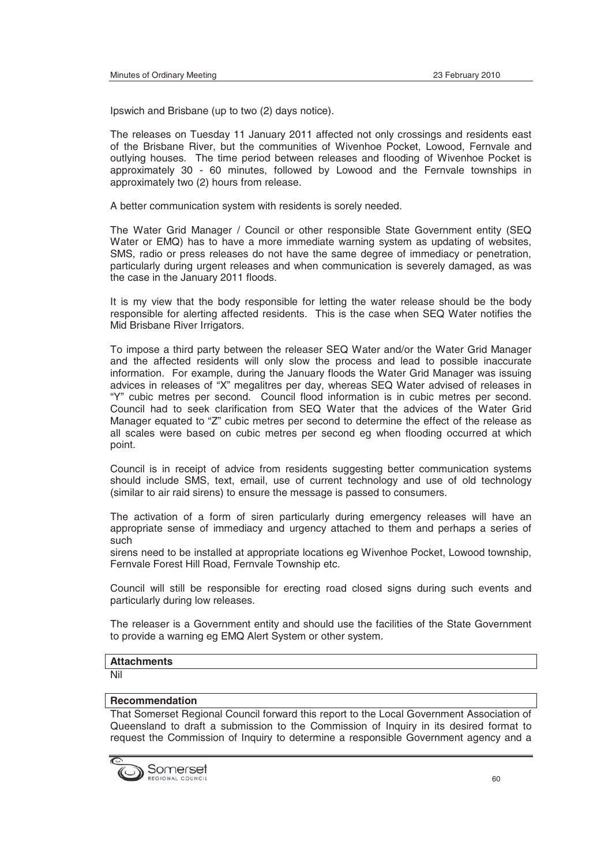Ipswich and Brisbane (up to two (2) days notice).

The releases on Tuesday 11 January 2011 affected not only crossings and residents east of the Brisbane River, but the communities of Wivenhoe Pocket, Lowood, Fernvale and outlying houses. The time period between releases and flooding of Wivenhoe Pocket is approximately 30 - 60 minutes, followed by Lowood and the Fernvale townships in approximately two (2) hours from release.

A better communication system with residents is sorely needed.

The Water Grid Manager / Council or other responsible State Government entity (SEQ Water or EMQ) has to have a more immediate warning system as updating of websites, SMS, radio or press releases do not have the same degree of immediacy or penetration, particularly during urgent releases and when communication is severely damaged, as was the case in the January 2011 floods.

It is my view that the body responsible for letting the water release should be the body responsible for alerting affected residents. This is the case when SEQ Water notifies the Mid Brisbane River Irrigators.

To impose a third party between the releaser SEQ Water and/or the Water Grid Manager and the affected residents will only slow the process and lead to possible inaccurate information. For example, during the January floods the Water Grid Manager was issuing advices in releases of "X" megalitres per day, whereas SEQ Water advised of releases in "Y" cubic metres per second. Council flood information is in cubic metres per second. Council had to seek clarification from SEQ Water that the advices of the Water Grid Manager equated to "Z" cubic metres per second to determine the effect of the release as all scales were based on cubic metres per second eg when flooding occurred at which point.

Council is in receipt of advice from residents suggesting better communication systems should include SMS, text, email, use of current technology and use of old technology (similar to air raid sirens) to ensure the message is passed to consumers.

The activation of a form of siren particularly during emergency releases will have an appropriate sense of immediacy and urgency attached to them and perhaps a series of such

sirens need to be installed at appropriate locations eg Wivenhoe Pocket, Lowood township, Fernvale Forest Hill Road, Fernvale Township etc.

Council will still be responsible for erecting road closed signs during such events and particularly during low releases.

The releaser is a Government entity and should use the facilities of the State Government to provide a warning eg EMQ Alert System or other system.

#### **Attachments**

Nil

#### **Recommendation**

That Somerset Regional Council forward this report to the Local Government Association of Queensland to draft a submission to the Commission of Inquiry in its desired format to request the Commission of Inquiry to determine a responsible Government agency and a